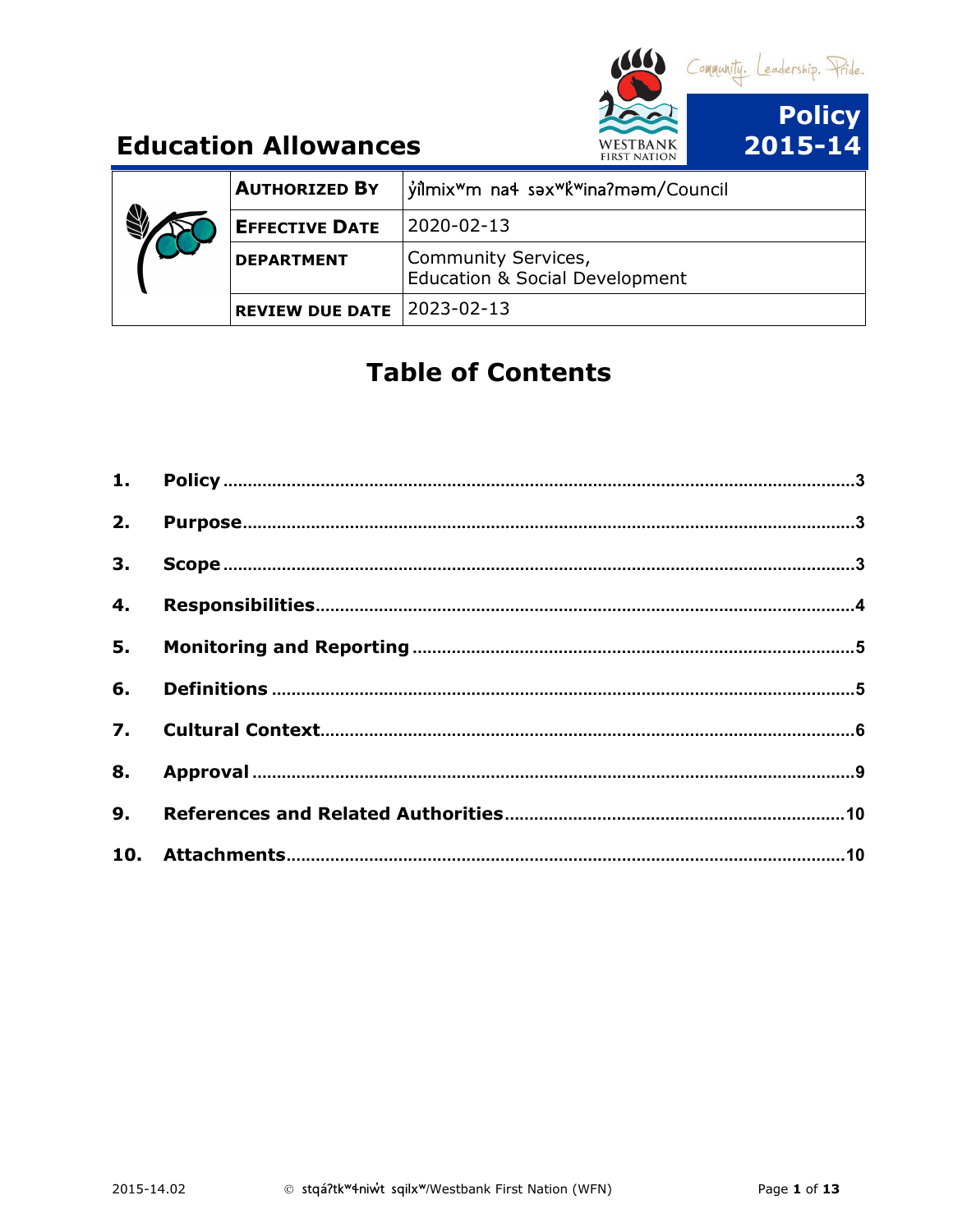

|                        | <b>AUTHORIZED BY</b>   yılmix <sup>w</sup> m na4 səx <sup>w</sup> kwina?məm/Council |
|------------------------|-------------------------------------------------------------------------------------|
| <b>EFFECTIVE DATE</b>  | 2020-02-13                                                                          |
| <b>DEPARTMENT</b>      | Community Services,<br><b>Education &amp; Social Development</b>                    |
| <b>REVIEW DUE DATE</b> | $12023 - 02 - 13$                                                                   |

# **Table of Contents**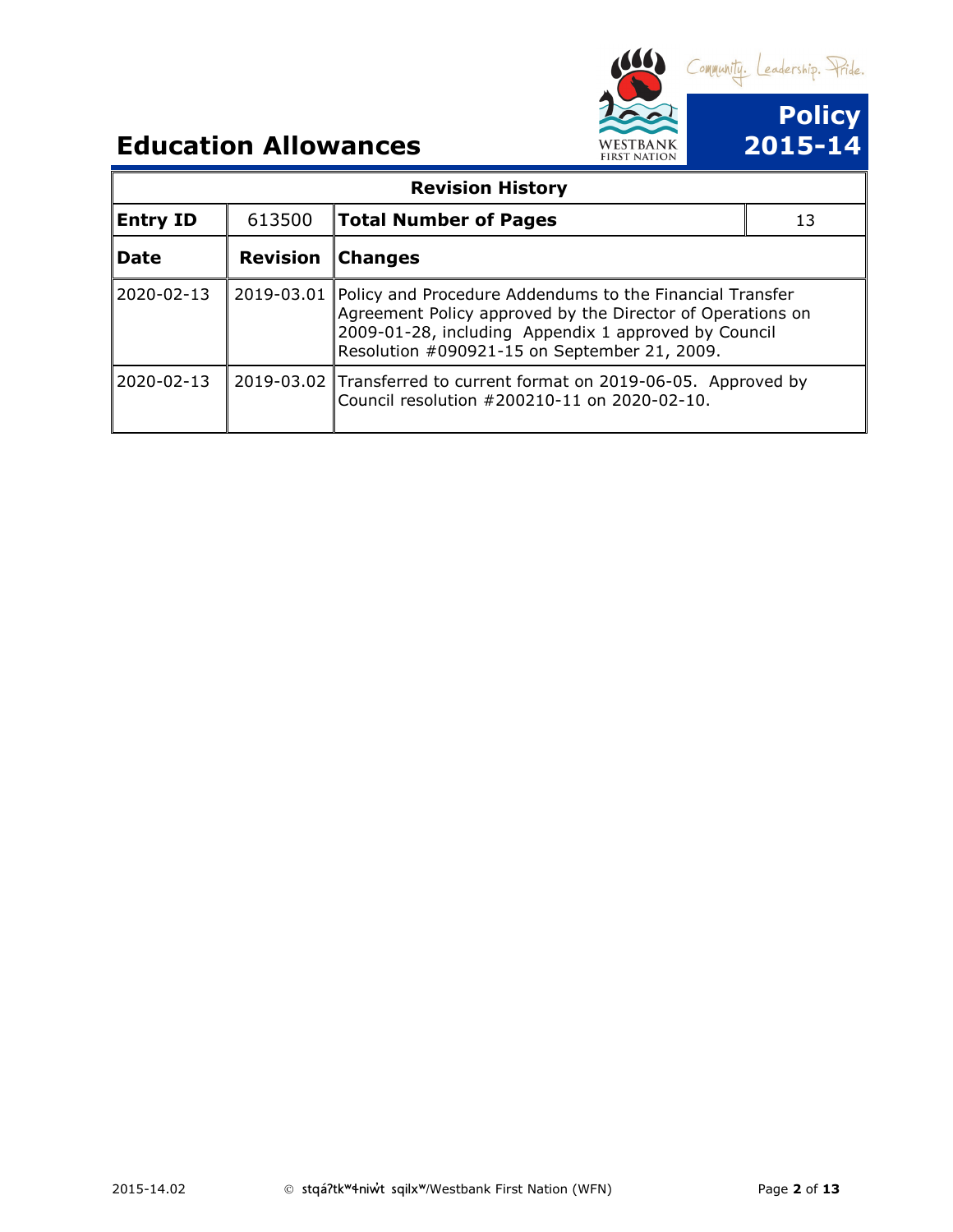

| <b>Revision History</b> |                 |                                                                                                                                                                                                                                |    |  |  |
|-------------------------|-----------------|--------------------------------------------------------------------------------------------------------------------------------------------------------------------------------------------------------------------------------|----|--|--|
| <b>Entry ID</b>         | 613500          | <b>Total Number of Pages</b>                                                                                                                                                                                                   | 13 |  |  |
| <b>Date</b>             | <b>Revision</b> | <b>Changes</b>                                                                                                                                                                                                                 |    |  |  |
| 2020-02-13              | 2019-03.01      | Policy and Procedure Addendums to the Financial Transfer<br>Agreement Policy approved by the Director of Operations on<br>2009-01-28, including Appendix 1 approved by Council<br>Resolution #090921-15 on September 21, 2009. |    |  |  |
| 2020-02-13              |                 | 2019-03.02 Transferred to current format on 2019-06-05. Approved by<br>Council resolution #200210-11 on 2020-02-10.                                                                                                            |    |  |  |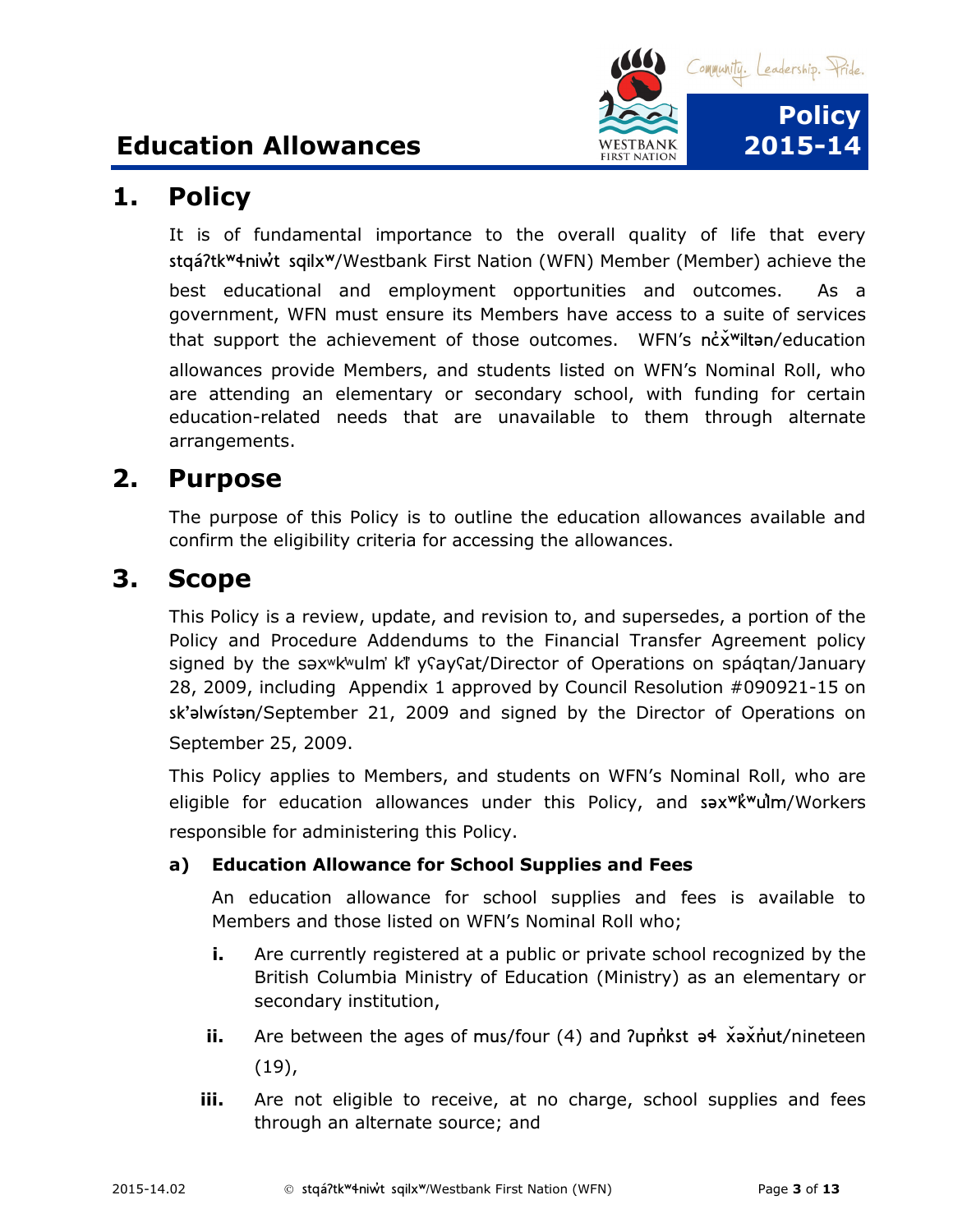

### <span id="page-2-0"></span>**1. Policy**

It is of fundamental importance to the overall quality of life that every stqáʔtkʷɬniw̓t sqilxʷ/Westbank First Nation (WFN) Member (Member) achieve the best educational and employment opportunities and outcomes. As a government, WFN must ensure its Members have access to a suite of services that support the achievement of those outcomes. WFN's ncx<sup>w</sup>iltan/education allowances provide Members, and students listed on WFN's Nominal Roll, who are attending an elementary or secondary school, with funding for certain education-related needs that are unavailable to them through alternate arrangements.

### <span id="page-2-1"></span>**2. Purpose**

The purpose of this Policy is to outline the education allowances available and confirm the eligibility criteria for accessing the allowances.

### <span id="page-2-2"></span>**3. Scope**

This Policy is a review, update, and revision to, and supersedes, a portion of the Policy and Procedure Addendums to the Financial Transfer Agreement policy signed by the sax<sup>w</sup>k<sup>w</sup>ulm' k'' ysaysat/Director of Operations on spágtan/January 28, 2009, including Appendix 1 approved by Council Resolution #090921-15 on sk'əlwístən/September 21, 2009 and signed by the Director of Operations on September 25, 2009.

This Policy applies to Members, and students on WFN's Nominal Roll, who are eligible for education allowances under this Policy, and sax<sup>wk'w</sup>ulm/Workers responsible for administering this Policy.

#### **a) Education Allowance for School Supplies and Fees**

An education allowance for school supplies and fees is available to Members and those listed on WFN's Nominal Roll who;

- **i.** Are currently registered at a public or private school recognized by the British Columbia Ministry of Education (Ministry) as an elementary or secondary institution,
- **ii.** Are between the ages of mus/four (4) and ?upn<sup>'</sup>kst a + x ax n'ut/nineteen (19),
- **iii.** Are not eligible to receive, at no charge, school supplies and fees through an alternate source; and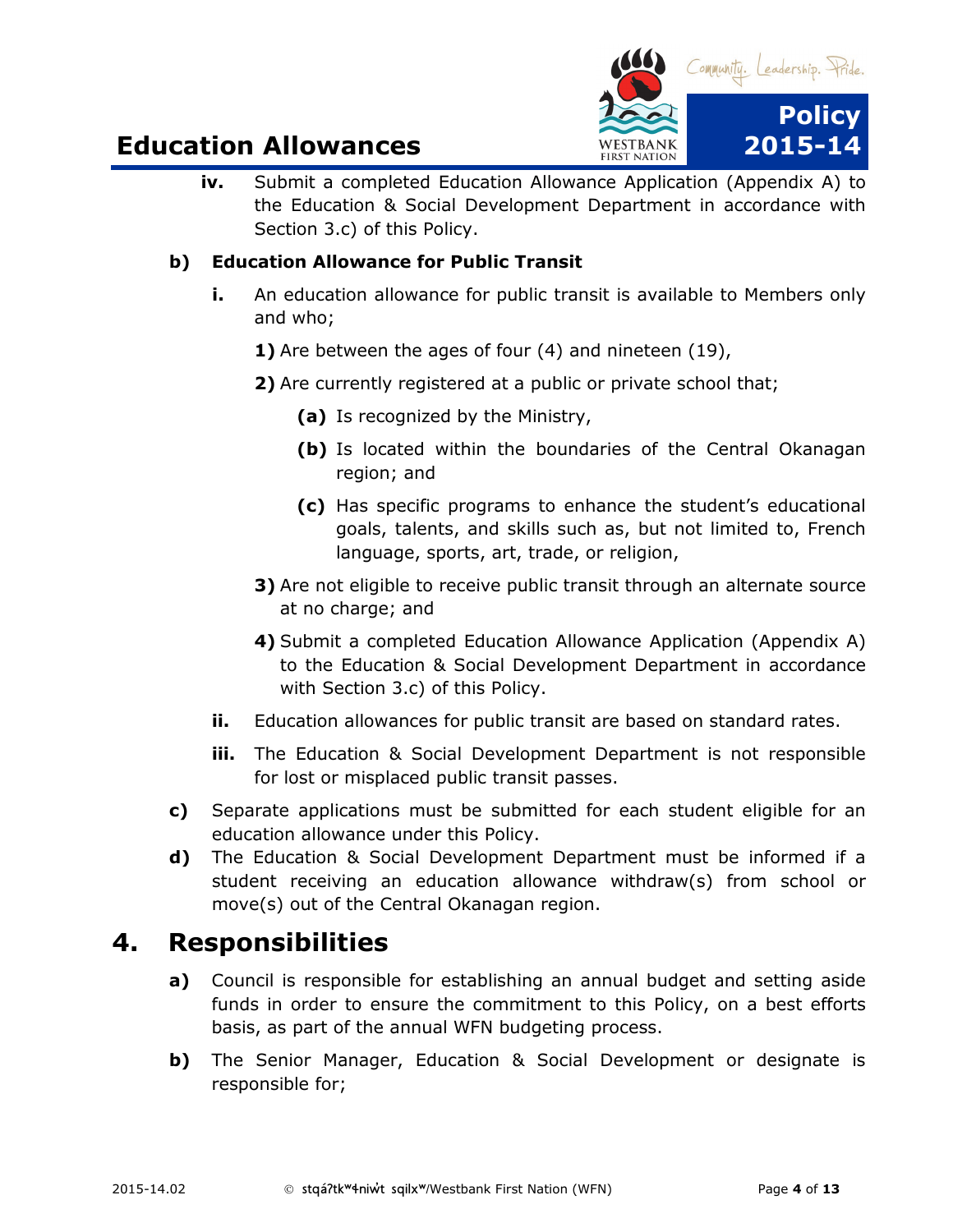

**iv.** Submit a completed Education Allowance Application (Appendix A) to the Education & Social Development Department in accordance with Section 3.c) of this Policy.

#### **b) Education Allowance for Public Transit**

- **i.** An education allowance for public transit is available to Members only and who;
	- **1)** Are between the ages of four (4) and nineteen (19),
	- **2)** Are currently registered at a public or private school that;
		- **(a)** Is recognized by the Ministry,
		- **(b)** Is located within the boundaries of the Central Okanagan region; and
		- **(c)** Has specific programs to enhance the student's educational goals, talents, and skills such as, but not limited to, French language, sports, art, trade, or religion,
	- **3)** Are not eligible to receive public transit through an alternate source at no charge; and
	- **4)** Submit a completed Education Allowance Application (Appendix A) to the Education & Social Development Department in accordance with Section 3.c) of this Policy.
- **ii.** Education allowances for public transit are based on standard rates.
- **iii.** The Education & Social Development Department is not responsible for lost or misplaced public transit passes.
- **c)** Separate applications must be submitted for each student eligible for an education allowance under this Policy.
- **d)** The Education & Social Development Department must be informed if a student receiving an education allowance withdraw(s) from school or move(s) out of the Central Okanagan region.

### <span id="page-3-0"></span>**4. Responsibilities**

- **a)** Council is responsible for establishing an annual budget and setting aside funds in order to ensure the commitment to this Policy, on a best efforts basis, as part of the annual WFN budgeting process.
- **b)** The Senior Manager, Education & Social Development or designate is responsible for;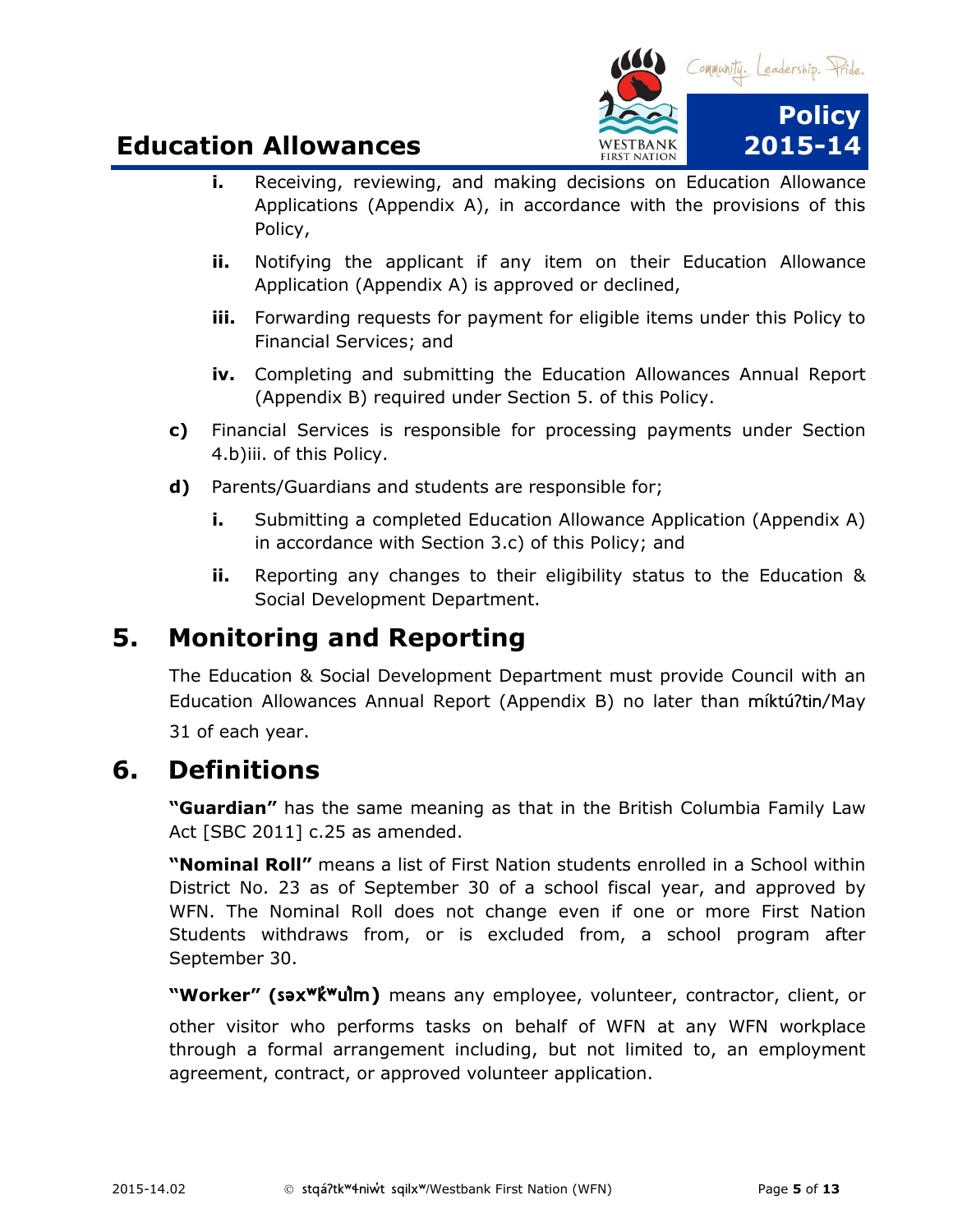

- **i.** Receiving, reviewing, and making decisions on Education Allowance Applications (Appendix A), in accordance with the provisions of this Policy,
- **ii.** Notifying the applicant if any item on their Education Allowance Application (Appendix A) is approved or declined,
- **iii.** Forwarding requests for payment for eligible items under this Policy to Financial Services; and
- **iv.** Completing and submitting the Education Allowances Annual Report (Appendix B) required under Section 5. of this Policy.
- **c)** Financial Services is responsible for processing payments under Section 4.b)iii. of this Policy.
- **d)** Parents/Guardians and students are responsible for;
	- **i.** Submitting a completed Education Allowance Application (Appendix A) in accordance with Section 3.c) of this Policy; and
	- **ii.** Reporting any changes to their eligibility status to the Education & Social Development Department.

# <span id="page-4-0"></span>**5. Monitoring and Reporting**

The Education & Social Development Department must provide Council with an Education Allowances Annual Report (Appendix B) no later than míktúʔtin/May 31 of each year.

### <span id="page-4-1"></span>**6. Definitions**

**"Guardian"** has the same meaning as that in the British Columbia Family Law Act [SBC 2011] c.25 as amended.

**"Nominal Roll"** means a list of First Nation students enrolled in a School within District No. 23 as of September 30 of a school fiscal year, and approved by WFN. The Nominal Roll does not change even if one or more First Nation Students withdraws from, or is excluded from, a school program after September 30.

**"Worker" (səxʷk̓ʷul̓m)** means any employee, volunteer, contractor, client, or

<span id="page-4-2"></span>other visitor who performs tasks on behalf of WFN at any WFN workplace through a formal arrangement including, but not limited to, an employment agreement, contract, or approved volunteer application.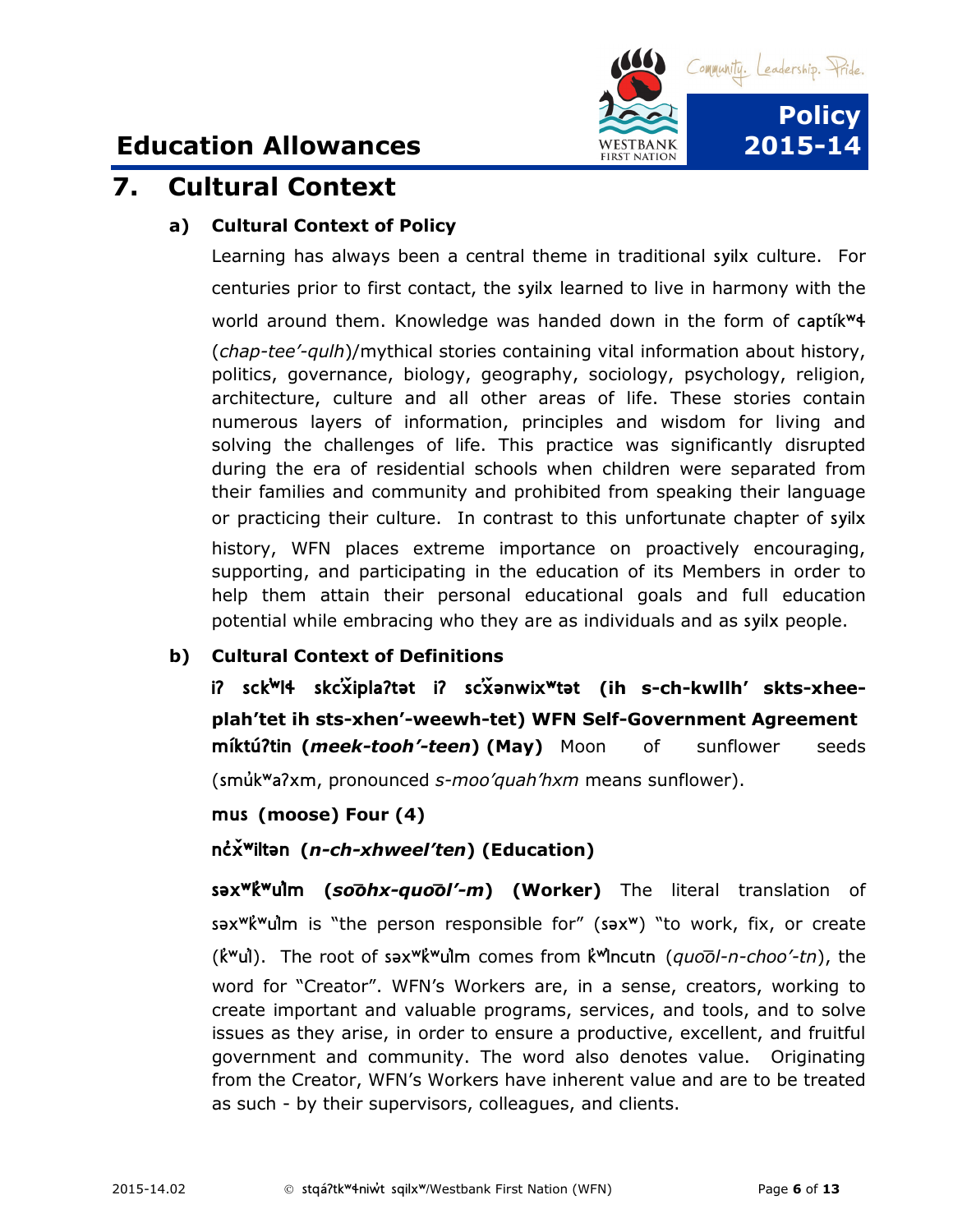

## **7. Cultural Context**

#### **a) Cultural Context of Policy**

Learning has always been a central theme in traditional syilx culture. For centuries prior to first contact, the syilx learned to live in harmony with the world around them. Knowledge was handed down in the form of captik<sup>w4</sup> (*chap-tee'-qulh*)/mythical stories containing vital information about history, politics, governance, biology, geography, sociology, psychology, religion, architecture, culture and all other areas of life. These stories contain numerous layers of information, principles and wisdom for living and solving the challenges of life. This practice was significantly disrupted during the era of residential schools when children were separated from their families and community and prohibited from speaking their language or practicing their culture. In contrast to this unfortunate chapter of syilx history, WFN places extreme importance on proactively encouraging, supporting, and participating in the education of its Members in order to help them attain their personal educational goals and full education potential while embracing who they are as individuals and as syilx people.

#### **b) Cultural Context of Definitions**

**iʔ sck̕ʷlɬ skc̕x̌iplaʔtət iʔ sc̕x̌ənwixʷtət (ih s-ch-kwllh' skts-xheeplah'tet ih sts-xhen'-weewh-tet) WFN Self-Government Agreement míktúʔtin (***meek-tooh'-teen***) (May)** Moon of sunflower seeds (smu̓kʷaʔxm, pronounced *s-moo'quah'hxm* means sunflower).

**mus (moose) Four (4)**

**nc̓x̌ʷiltən (***n-ch-xhweel'ten***) (Education)**

**səxʷk̓ʷul̓m (***so͞ohx-quo͞ol'-m***) (Worker)** The literal translation of sax<sup>w</sup>k<sup>w</sup>ulm is "the person responsible for" (sax<sup>w</sup>) "to work, fix, or create (k̓ʷul̓). The root of səxʷk̓ʷul̓m comes from k̓ʷl̓ncutn (*quo͞ol-n-choo'-tn*), the word for "Creator". WFN's Workers are, in a sense, creators, working to create important and valuable programs, services, and tools, and to solve issues as they arise, in order to ensure a productive, excellent, and fruitful government and community. The word also denotes value. Originating from the Creator, WFN's Workers have inherent value and are to be treated as such - by their supervisors, colleagues, and clients.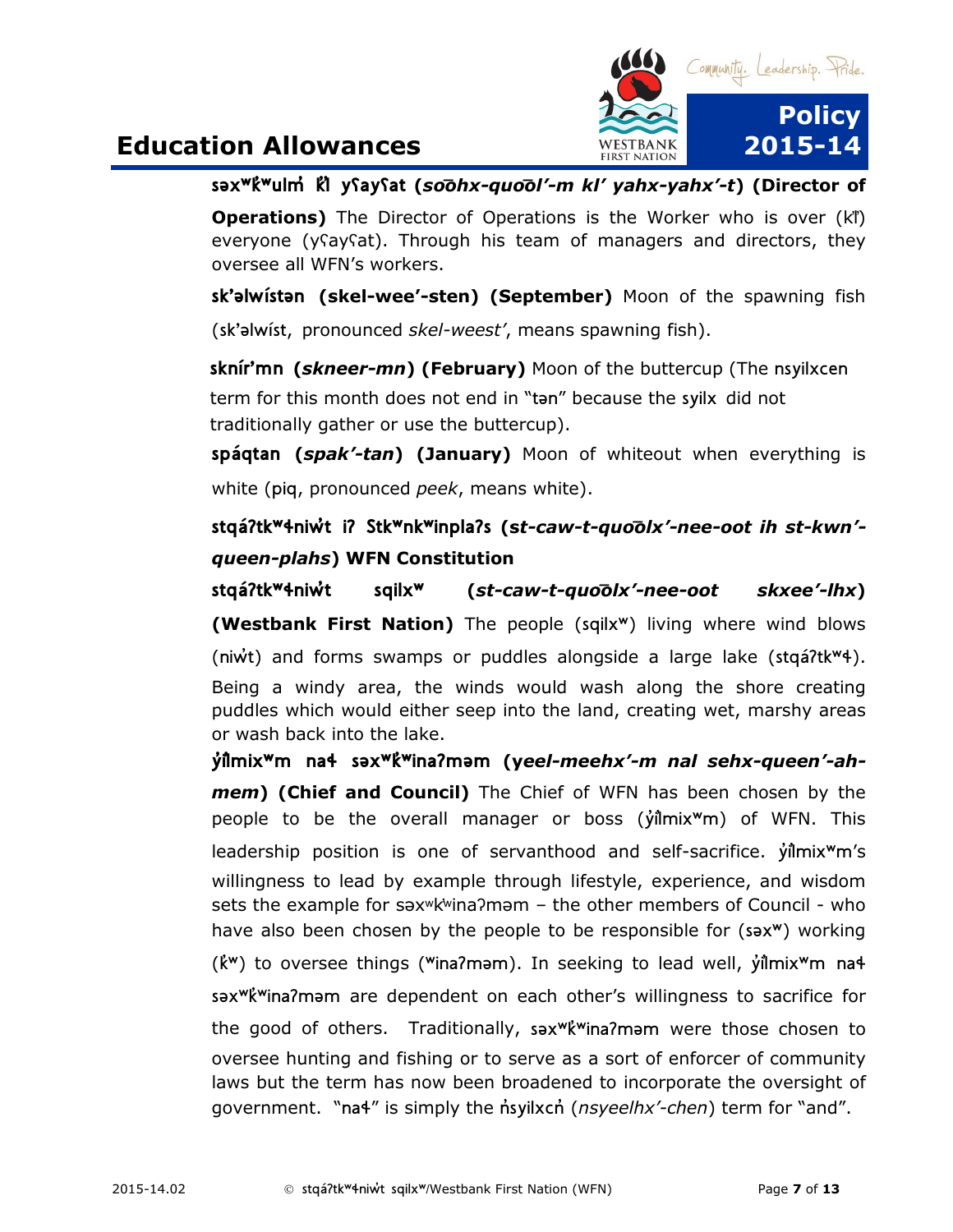

#### **səxʷk̓ʷulm̓ k̓l̓ yʕayʕat (***so͞ohx-quo͞ol'-m kl' yahx-yahx'-t***) (Director of**

**Operations)** The Director of Operations is the Worker who is over (k̓l̓) everyone (yʕayʕat). Through his team of managers and directors, they oversee all WFN's workers.

**sk'əlwístən (skel-wee'-sten) (September)** Moon of the spawning fish (sk'əlwíst, pronounced *skel-weest'*, means spawning fish).

**sknír'mn (***skneer-mn***) (February)** Moon of the buttercup (The nsyilxcen term for this month does not end in "tən" because the syilx did not traditionally gather or use the buttercup).

**spáqtan (***spak'-tan***) (January)** Moon of whiteout when everything is white (piq, pronounced *peek*, means white).

**stqáʔtkʷɬniw̓t iʔ Stkʷnkʷinplaʔs (s***t-caw-t-quo͞olx'-nee-oot ih st-kwn' queen-plahs***) WFN Constitution**

**stqáʔtkʷɬniw̓t sqilxʷ (***st-caw-t-quo͞olx'-nee-oot skxee'-lhx***) (Westbank First Nation)** The people (sqilxʷ) living where wind blows (niw̓t) and forms swamps or puddles alongside a large lake (stqáʔtkʷɬ). Being a windy area, the winds would wash along the shore creating puddles which would either seep into the land, creating wet, marshy areas or wash back into the lake.

**y̓il̓mixʷm naɬ səxʷk̓ʷinaʔməm (y***eel-meehx'-m nal sehx-queen'-ahmem***) (Chief and Council)** The Chief of WFN has been chosen by the people to be the overall manager or boss (y'ilmix<sup>w</sup>m) of WFN. This leadership position is one of servanthood and self-sacrifice.  $\dot{y}$  ilmix<sup>w</sup>m's willingness to lead by example through lifestyle, experience, and wisdom sets the example for səxʷk̓ʷinaʔməm – the other members of Council - who have also been chosen by the people to be responsible for (sax<sup>w</sup>) working (k<sup>w</sup>) to oversee things (<sup>w</sup>ina?mam). In seeking to lead well,  $\dot{y}$ ilmix<sup>w</sup>m na<sup>4</sup> səxʷk̓ʷinaʔməm are dependent on each other's willingness to sacrifice for the good of others. Traditionally, sax<sup>wk</sup><sup>w</sup>ina?mam were those chosen to oversee hunting and fishing or to serve as a sort of enforcer of community laws but the term has now been broadened to incorporate the oversight of government. "naɬ" is simply the n̓syilxcn̓ (*nsyeelhx'-chen*) term for "and".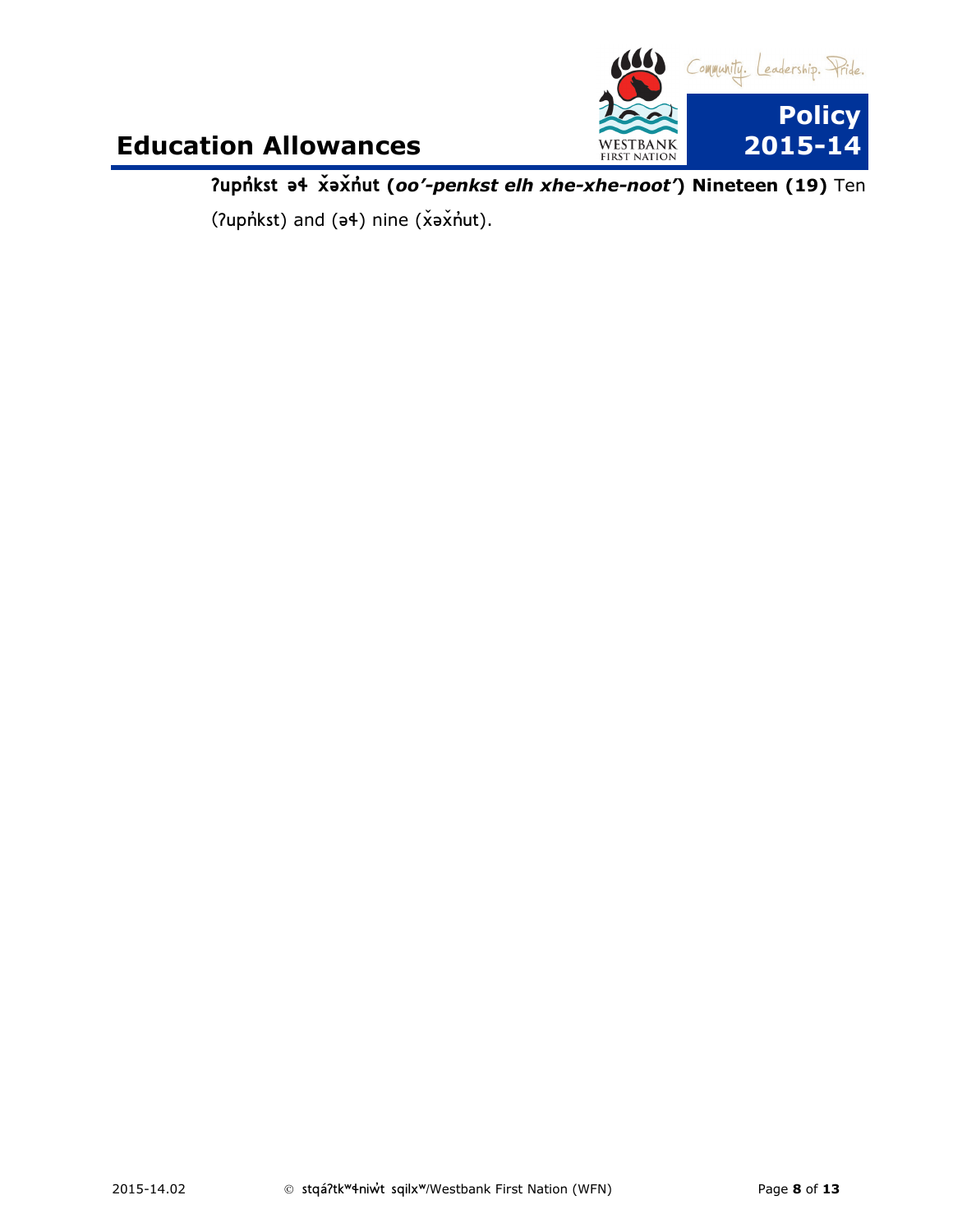

**ʔupn̓kst əɬ x̌əx̌n̓ut (***oo'-penkst elh xhe-xhe-noot'***) Nineteen (19)** Ten (ʔupn̓kst) and (əɬ) nine (x̌əx̌n̓ut).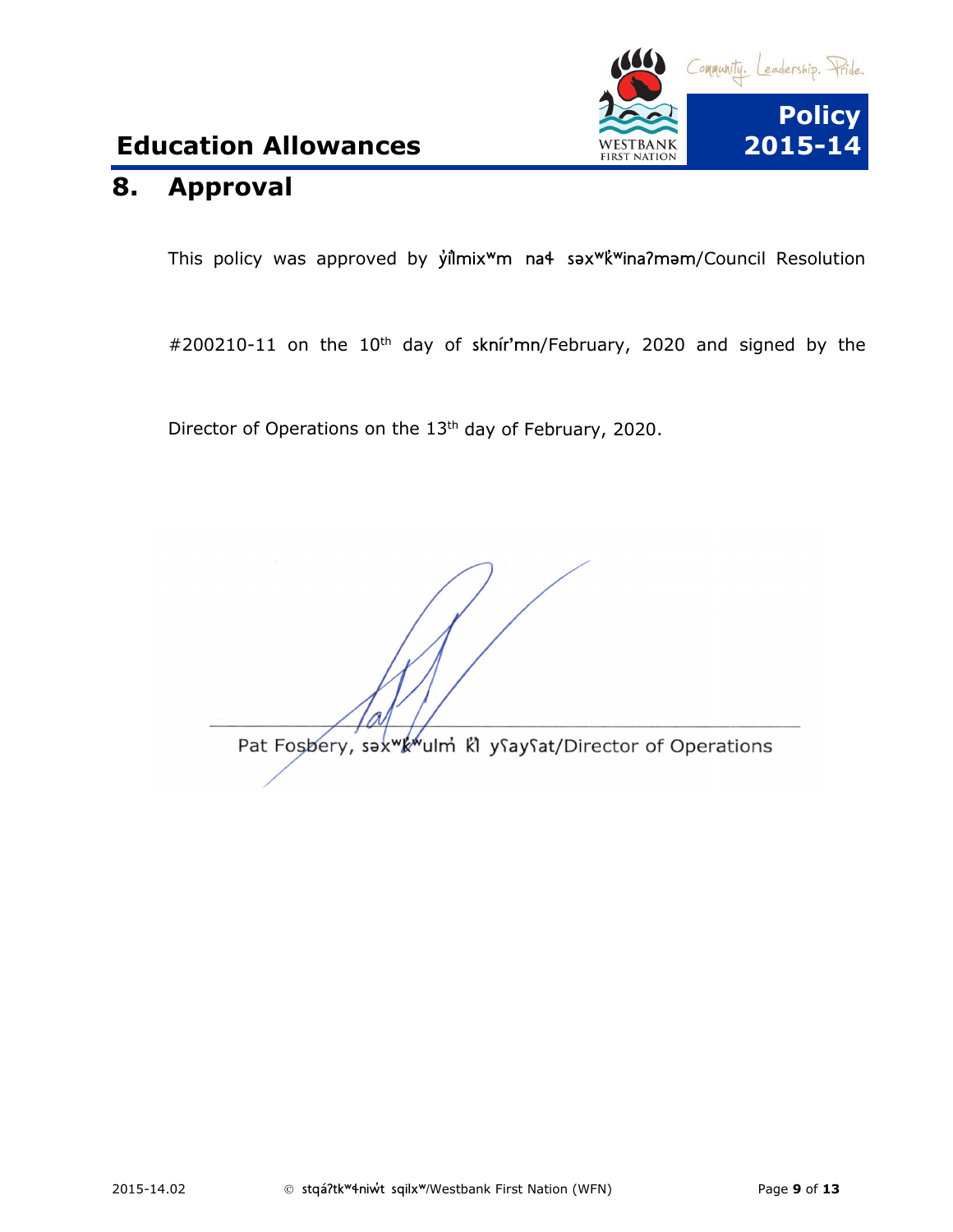

### <span id="page-8-0"></span>**8. Approval**

This policy was approved by yılmix<sup>w</sup>m na<sup>4</sup> sax<sup>w</sup>k<sup>w</sup>ina?mam/Council Resolution

#200210-11 on the 10<sup>th</sup> day of sknir'mn/February, 2020 and signed by the

Director of Operations on the 13<sup>th</sup> day of February, 2020.

Pat Fosbery, sax<sup>wkw</sup>ulm Kl ysaysat/Director of Operations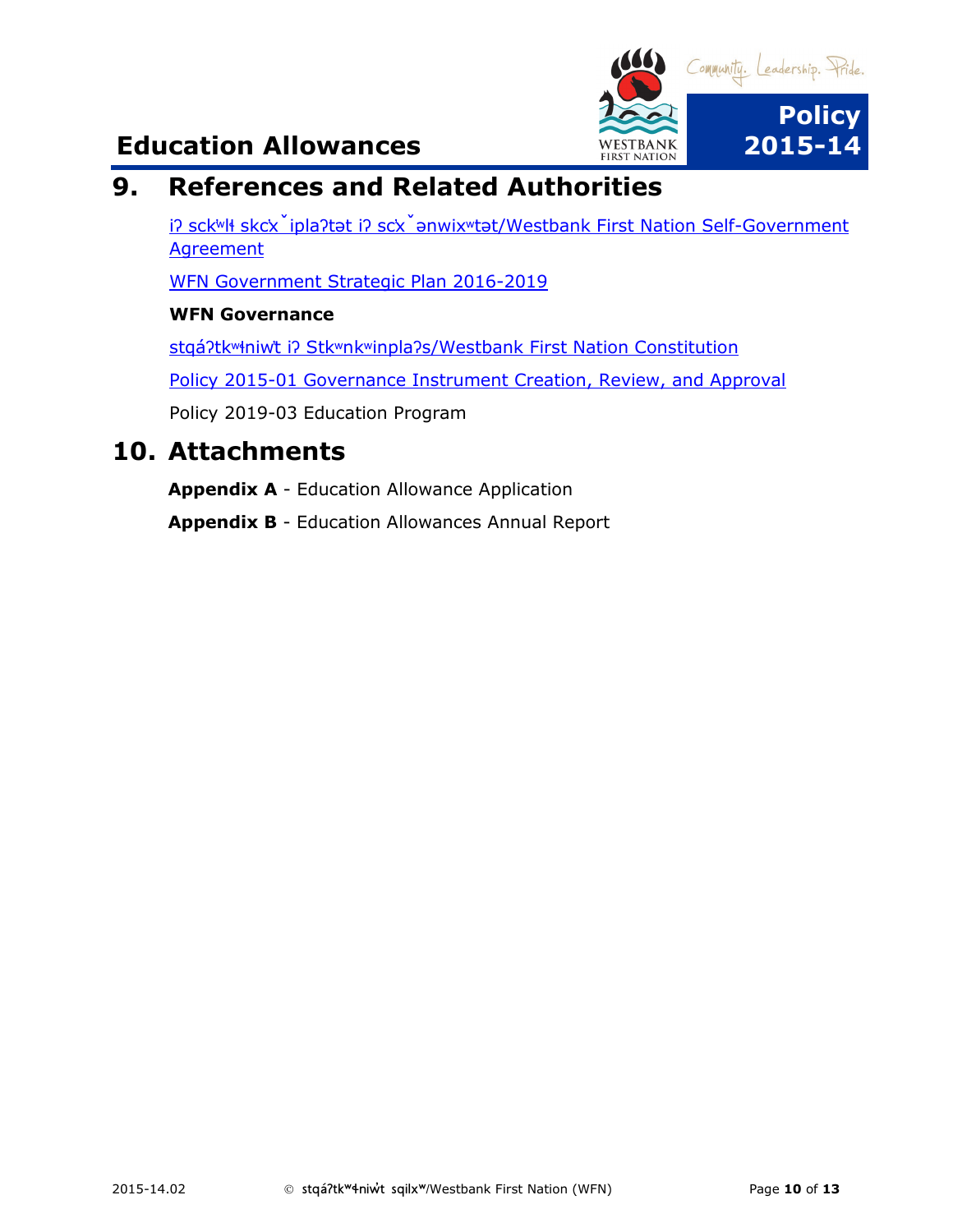

### <span id="page-9-0"></span>**9. References and Related Authorities**

i? sck<sup>w</sup>łł skc<sup>x</sup> ipla?tat i? scx anwixwtat/Westbank First Nation Self-Government [Agreement](https://www.aadnc-aandc.gc.ca/eng/1100100031766/1100100031768)

WFN [Government Strategic Plan 2016-2019](http://www.wfn.ca/black-bear/strategy.htm)

#### **WFN Governance**

stqáʔtkʷɬniw̓t iʔ Stkʷnkʷinplaʔ[s/Westbank First Nation Constitution](https://www.wfn.ca/docs/wfn-constitution.pdf)

[Policy 2015-01 Governance Instrument Creation, Review, and Approval](file://wfnfox/public/GOVERNANCE%20INSTRUMENTS/EXECUTED%20GOVERNANCE%20INSTRUMENTS/Council%20Policies)

<span id="page-9-1"></span>Policy 2019-03 Education Program

### **10. Attachments**

**Appendix A** - Education Allowance Application

**Appendix B** - Education Allowances Annual Report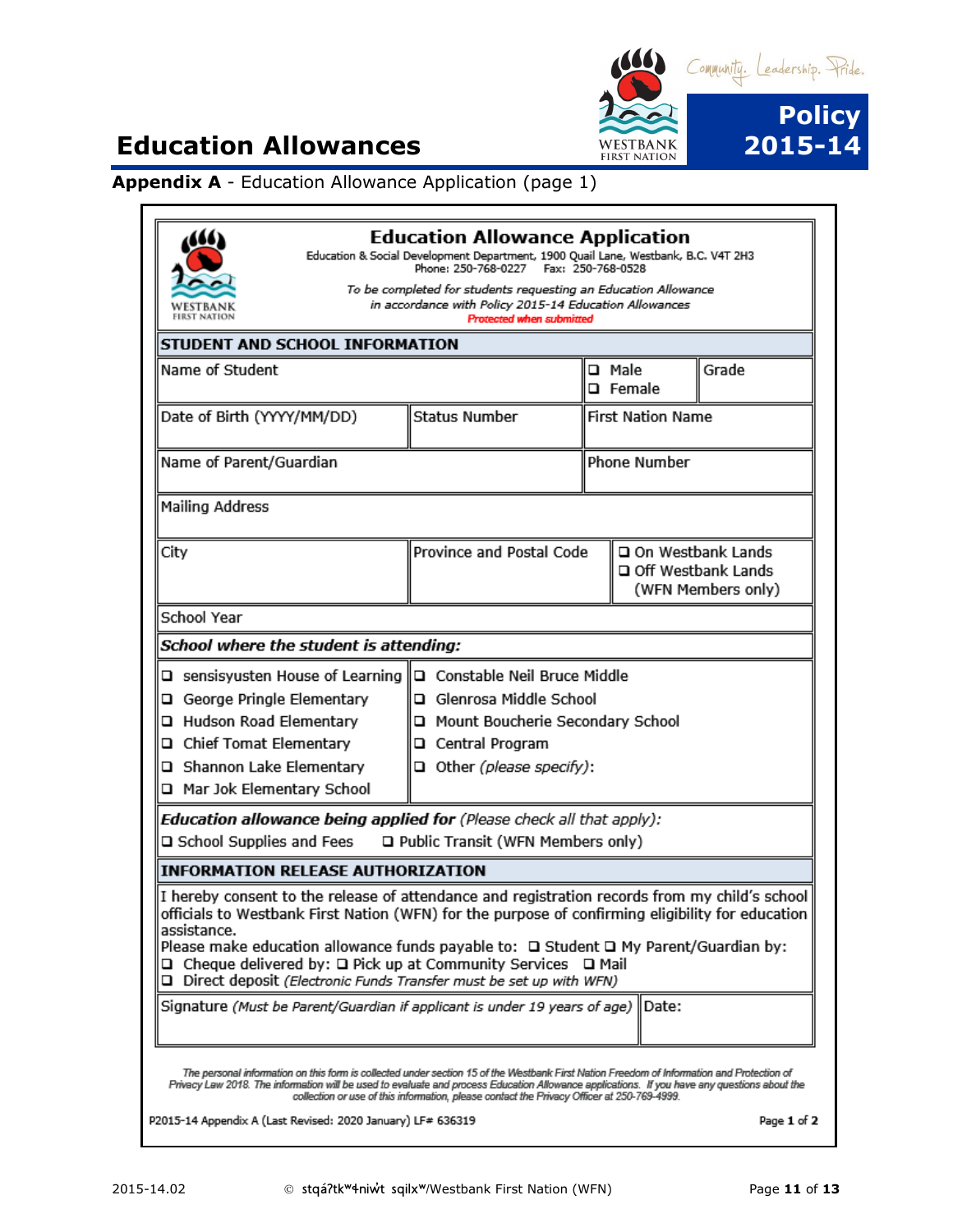

#### **Appendix A** - Education Allowance Application (page 1)

| Fax: 250-768-0528<br>Phone: 250-768-0227<br>To be completed for students requesting an Education Allowance<br>in accordance with Policy 2015-14 Education Allowances<br><b>Protected when submitted</b>                                                                                                                                                                                                                                                |                                     |                          |       |                                                                   |
|--------------------------------------------------------------------------------------------------------------------------------------------------------------------------------------------------------------------------------------------------------------------------------------------------------------------------------------------------------------------------------------------------------------------------------------------------------|-------------------------------------|--------------------------|-------|-------------------------------------------------------------------|
| STUDENT AND SCHOOL INFORMATION                                                                                                                                                                                                                                                                                                                                                                                                                         |                                     |                          |       |                                                                   |
| Name of Student                                                                                                                                                                                                                                                                                                                                                                                                                                        |                                     | □ Male<br>□ Female       |       | Grade                                                             |
| Date of Birth (YYYY/MM/DD)                                                                                                                                                                                                                                                                                                                                                                                                                             | <b>Status Number</b>                | <b>First Nation Name</b> |       |                                                                   |
| Name of Parent/Guardian                                                                                                                                                                                                                                                                                                                                                                                                                                |                                     | Phone Number             |       |                                                                   |
| Mailing Address                                                                                                                                                                                                                                                                                                                                                                                                                                        |                                     |                          |       |                                                                   |
| City                                                                                                                                                                                                                                                                                                                                                                                                                                                   | Province and Postal Code            |                          |       | □ On Westbank Lands<br>□ Off Westbank Lands<br>(WFN Members only) |
| <b>School Year</b>                                                                                                                                                                                                                                                                                                                                                                                                                                     |                                     |                          |       |                                                                   |
| School where the student is attending:                                                                                                                                                                                                                                                                                                                                                                                                                 |                                     |                          |       |                                                                   |
| □ sensisyusten House of Learning                                                                                                                                                                                                                                                                                                                                                                                                                       | Constable Neil Bruce Middle         |                          |       |                                                                   |
| George Pringle Elementary                                                                                                                                                                                                                                                                                                                                                                                                                              | Glenrosa Middle School              |                          |       |                                                                   |
| Hudson Road Elementary                                                                                                                                                                                                                                                                                                                                                                                                                                 | □ Mount Boucherie Secondary School  |                          |       |                                                                   |
| Chief Tomat Elementary                                                                                                                                                                                                                                                                                                                                                                                                                                 | □ Central Program                   |                          |       |                                                                   |
| Shannon Lake Elementary                                                                                                                                                                                                                                                                                                                                                                                                                                | $\Box$ Other (please specify):      |                          |       |                                                                   |
| □ Mar Jok Elementary School                                                                                                                                                                                                                                                                                                                                                                                                                            |                                     |                          |       |                                                                   |
| Education allowance being applied for (Please check all that apply):                                                                                                                                                                                                                                                                                                                                                                                   |                                     |                          |       |                                                                   |
| □ School Supplies and Fees                                                                                                                                                                                                                                                                                                                                                                                                                             | □ Public Transit (WFN Members only) |                          |       |                                                                   |
| INFORMATION RFI FASE AUTHORIZATION                                                                                                                                                                                                                                                                                                                                                                                                                     |                                     |                          |       |                                                                   |
| I hereby consent to the release of attendance and registration records from my child's school<br>officials to Westbank First Nation (WFN) for the purpose of confirming eligibility for education<br>assistance.<br>Please make education allowance funds payable to: □ Student □ My Parent/Guardian by:<br>□ Cheque delivered by: □ Pick up at Community Services □ Mail<br>$\Box$ Direct deposit (Electronic Funds Transfer must be set up with WFN) |                                     |                          |       |                                                                   |
| Signature (Must be Parent/Guardian if applicant is under 19 years of age)                                                                                                                                                                                                                                                                                                                                                                              |                                     |                          | Date: |                                                                   |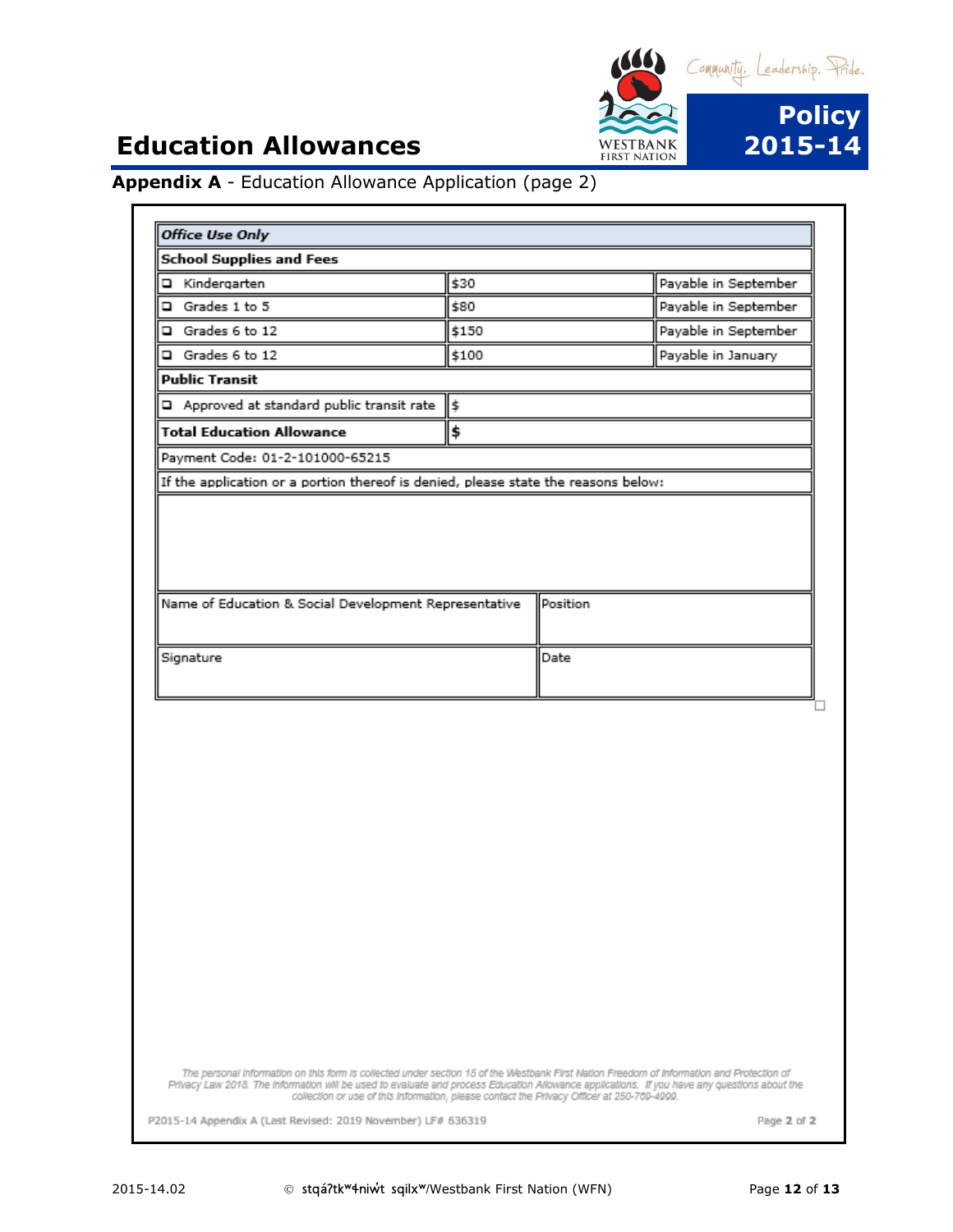

**Appendix A** - Education Allowance Application (page 2)

| <b>School Supplies and Fees</b>                                                    |       |          |                      |  |
|------------------------------------------------------------------------------------|-------|----------|----------------------|--|
|                                                                                    |       |          |                      |  |
| G Kindergarten                                                                     | \$30  |          | Payable in September |  |
| Grades 1 to 5                                                                      | \$80  |          | Payable in September |  |
| $\overline{a}$ Grades 6 to 12                                                      | \$150 |          | Payable in September |  |
| Grades 6 to 12<br>\$100                                                            |       |          | Payable in January   |  |
| <b>Public Transit</b>                                                              |       |          |                      |  |
| Approved at standard public transit rate                                           | ∥\$   |          |                      |  |
| <b>Total Education Allowance</b>                                                   | \$    |          |                      |  |
| Payment Code: 01-2-101000-65215                                                    |       |          |                      |  |
| If the application or a portion thereof is denied, please state the reasons below: |       |          |                      |  |
| Name of Education & Social Development Representative                              |       | Position |                      |  |
|                                                                                    |       |          |                      |  |
|                                                                                    |       |          |                      |  |
| Signature                                                                          |       | Date     |                      |  |
|                                                                                    |       |          |                      |  |
|                                                                                    |       |          |                      |  |
|                                                                                    |       |          |                      |  |